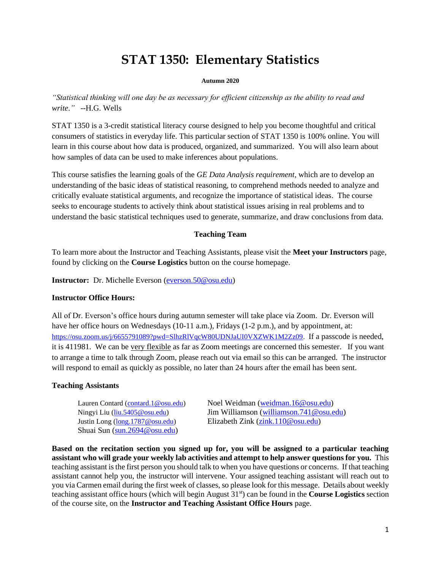# **STAT 1350: Elementary Statistics**

#### **Autumn 2020**

*"Statistical thinking will one day be as necessary for efficient citizenship as the ability to read and write*.*"* --H.G. Wells

STAT 1350 is a 3-credit statistical literacy course designed to help you become thoughtful and critical consumers of statistics in everyday life. This particular section of STAT 1350 is 100% online. You will learn in this course about how data is produced, organized, and summarized. You will also learn about how samples of data can be used to make inferences about populations.

This course satisfies the learning goals of the *GE Data Analysis requirement*, which are to develop an understanding of the basic ideas of statistical reasoning, to comprehend methods needed to analyze and critically evaluate statistical arguments, and recognize the importance of statistical ideas. The course seeks to encourage students to actively think about statistical issues arising in real problems and to understand the basic statistical techniques used to generate, summarize, and draw conclusions from data.

## **Teaching Team**

To learn more about the Instructor and Teaching Assistants, please visit the **Meet your Instructors** page, found by clicking on the **Course Logistics** button on the course homepage.

**Instructor:** Dr. Michelle Everson [\(everson.50@osu.edu\)](mailto:everson.50@osu.edu)

## **Instructor Office Hours:**

All of Dr. Everson's office hours during autumn semester will take place via Zoom. Dr. Everson will have her office hours on Wednesdays (10-11 a.m.), Fridays (1-2 p.m.), and by appointment, at: [https://osu.zoom.us/j/6655791089?pwd=SlhzRlVqcW80UDNJaUI0VXZWK1M2Zz09.](https://osu.zoom.us/j/6655791089?pwd=SlhzRlVqcW80UDNJaUI0VXZWK1M2Zz09) If a passcode is needed, it is 411981. We can be very flexible as far as Zoom meetings are concerned this semester. If you want to arrange a time to talk through Zoom, please reach out via email so this can be arranged. The instructor will respond to email as quickly as possible, no later than 24 hours after the email has been sent.

## **Teaching Assistants**

Shuai Sun [\(sun.2694@osu.edu\)](mailto:sun.2694@osu.edu)

Lauren Contard [\(contard.1@osu.edu\)](mailto:contard.1@osu.edu) Noel Weidman [\(weidman.16@osu.edu\)](mailto:weidman.16@osu.edu) Ningyi Liu [\(liu.5405@osu.edu\)](mailto:liu.5405@osu.edu) Jim Williamson [\(williamson.741@osu.edu\)](mailto:williamson.741@osu.edu) Justin Long [\(long.1787@osu.edu\)](mailto:long.1787@osu.edu) Elizabeth Zink [\(zink.110@osu.edu\)](mailto:zink.110@osu.edu)

**Based on the recitation section you signed up for, you will be assigned to a particular teaching assistant who will grade your weekly lab activities and attempt to help answer questions for you.** This teaching assistant is the first person you should talk to when you have questions or concerns. If that teaching assistant cannot help you, the instructor will intervene. Your assigned teaching assistant will reach out to you via Carmen email during the first week of classes, so please look for this message. Details about weekly teaching assistant office hours (which will begin August 31st) can be found in the **Course Logistics** section of the course site, on the **Instructor and Teaching Assistant Office Hours** page.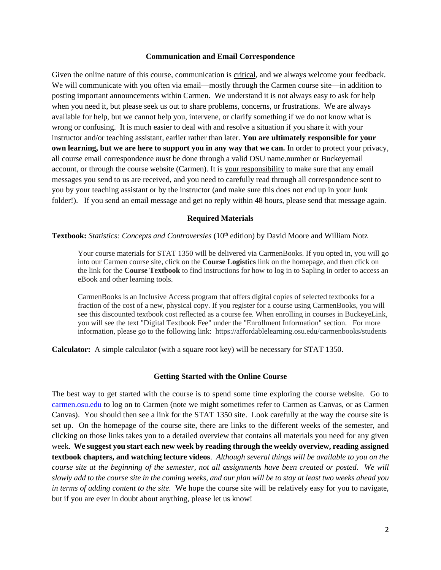#### **Communication and Email Correspondence**

Given the online nature of this course, communication is critical, and we always welcome your feedback. We will communicate with you often via email—mostly through the Carmen course site—in addition to posting important announcements within Carmen. We understand it is not always easy to ask for help when you need it, but please seek us out to share problems, concerns, or frustrations. We are always available for help, but we cannot help you, intervene, or clarify something if we do not know what is wrong or confusing. It is much easier to deal with and resolve a situation if you share it with your instructor and/or teaching assistant, earlier rather than later. **You are ultimately responsible for your own learning, but we are here to support you in any way that we can.** In order to protect your privacy, all course email correspondence *must* be done through a valid OSU name.number or Buckeyemail account, or through the course website (Carmen). It is your responsibility to make sure that any email messages you send to us are received, and you need to carefully read through all correspondence sent to you by your teaching assistant or by the instructor (and make sure this does not end up in your Junk folder!). If you send an email message and get no reply within 48 hours, please send that message again.

#### **Required Materials**

**Textbook:** *Statistics: Concepts and Controversies* (10<sup>th</sup> edition) by David Moore and William Notz

Your course materials for STAT 1350 will be delivered via CarmenBooks. If you opted in, you will go into our Carmen course site, click on the **Course Logistics** link on the homepage, and then click on the link for the **Course Textbook** to find instructions for how to log in to Sapling in order to access an eBook and other learning tools.

CarmenBooks is an Inclusive Access program that offers digital copies of selected textbooks for a fraction of the cost of a new, physical copy. If you register for a course using CarmenBooks, you will see this discounted textbook cost reflected as a course fee. When enrolling in courses in BuckeyeLink, you will see the text "Digital Textbook Fee" under the "Enrollment Information" section. For more information, please go to the following link: <https://affordablelearning.osu.edu/carmenbooks/students>

**Calculator:** A simple calculator (with a square root key) will be necessary for STAT 1350.

#### **Getting Started with the Online Course**

The best way to get started with the course is to spend some time exploring the course website. Go to [carmen.osu.edu](http://www.carmen.osu.edu/) to log on to Carmen (note we might sometimes refer to Carmen as Canvas, or as Carmen Canvas). You should then see a link for the STAT 1350 site. Look carefully at the way the course site is set up. On the homepage of the course site, there are links to the different weeks of the semester, and clicking on those links takes you to a detailed overview that contains all materials you need for any given week. **We suggest you start each new week by reading through the weekly overview, reading assigned textbook chapters, and watching lecture videos**. *Although several things will be available to you on the course site at the beginning of the semester, not all assignments have been created or posted. We will slowly add to the course site in the coming weeks, and our plan will be to stay at least two weeks ahead you in terms of adding content to the site.* We hope the course site will be relatively easy for you to navigate, but if you are ever in doubt about anything, please let us know!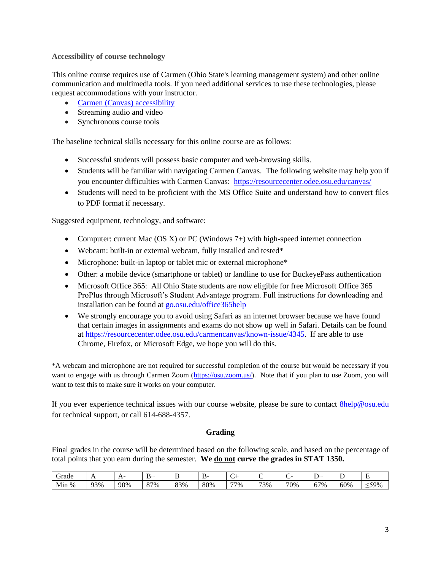# **Accessibility of course technology**

This online course requires use of Carmen (Ohio State's learning management system) and other online communication and multimedia tools. If you need additional services to use these technologies, please request accommodations with your instructor.

- Carmen (Canvas) [accessibility](https://community.canvaslms.com/docs/DOC-2061)
- Streaming audio and video
- Synchronous course tools

The baseline technical skills necessary for this online course are as follows:

- Successful students will possess basic computer and web-browsing skills.
- Students will be familiar with navigating Carmen Canvas. The following website may help you if you encounter difficulties with Carmen Canvas:<https://resourcecenter.odee.osu.edu/canvas/>
- Students will need to be proficient with the MS Office Suite and understand how to convert files to PDF format if necessary.

Suggested equipment, technology, and software:

- Computer: current Mac (OS X) or PC (Windows  $7+$ ) with high-speed internet connection
- Webcam: built-in or external webcam, fully installed and tested\*
- Microphone: built-in laptop or tablet mic or external microphone\*
- Other: a mobile device (smartphone or tablet) or landline to use for BuckeyePass authentication
- Microsoft Office 365: All Ohio State students are now eligible for free Microsoft Office 365 ProPlus through Microsoft's Student Advantage program. Full instructions for downloading and installation can be found at [go.osu.edu/office365help](about:blank)
- We strongly encourage you to avoid using Safari as an internet browser because we have found that certain images in assignments and exams do not show up well in Safari. Details can be found at [https://resourcecenter.odee.osu.edu/carmencanvas/known-issue/4345.](https://resourcecenter.odee.osu.edu/carmencanvas/known-issue/4345) If are able to use Chrome, Firefox, or Microsoft Edge, we hope you will do this.

\*A webcam and microphone are not required for successful completion of the course but would be necessary if you want to engage with us through Carmen Zoom [\(https://osu.zoom.us/\)](https://osu.zoom.us/). Note that if you plan to use Zoom, you will want to test this to make sure it works on your computer.

If you ever experience technical issues with our course website, please be sure to contact [8help@osu.edu](mailto:8help@osu.edu) for technical support, or call 614-688-4357.

## **Grading**

Final grades in the course will be determined based on the following scale, and based on the percentage of total points that you earn during the semester. **We do not curve the grades in STAT 1350.**

| Grade                 | $\overline{1}$ | ∸<br>. . |     | . . | ,,<br> | $\tilde{\phantom{a}}$ | ∼   |     |          |     | $\sim$<br><b>.</b> |
|-----------------------|----------------|----------|-----|-----|--------|-----------------------|-----|-----|----------|-----|--------------------|
| Min<br>$\sim$<br>$\%$ | 93%            | 90%      | 87% | 83% | 80%    | 77%                   | 73% | 70% | 57%<br>O | 60% | $<$ 500/           |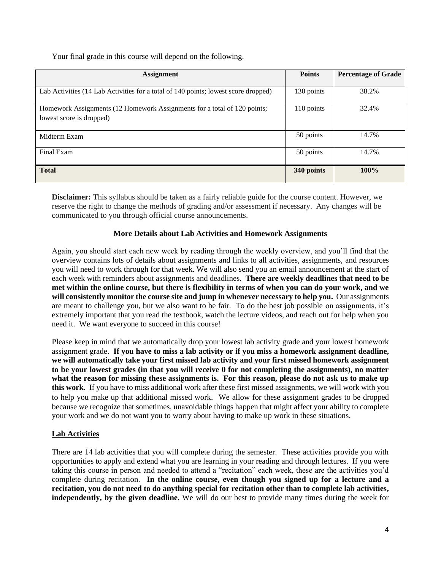Your final grade in this course will depend on the following.

| <b>Assignment</b>                                                                                    | <b>Points</b> | <b>Percentage of Grade</b> |
|------------------------------------------------------------------------------------------------------|---------------|----------------------------|
| Lab Activities (14 Lab Activities for a total of 140 points; lowest score dropped)                   | 130 points    | 38.2%                      |
| Homework Assignments (12 Homework Assignments for a total of 120 points;<br>lowest score is dropped) | 110 points    | 32.4%                      |
| Midterm Exam                                                                                         | 50 points     | 14.7%                      |
| Final Exam                                                                                           | 50 points     | 14.7%                      |
| <b>Total</b>                                                                                         | 340 points    | 100%                       |

**Disclaimer:** This syllabus should be taken as a fairly reliable guide for the course content. However, we reserve the right to change the methods of grading and/or assessment if necessary. Any changes will be communicated to you through official course announcements.

# **More Details about Lab Activities and Homework Assignments**

Again, you should start each new week by reading through the weekly overview, and you'll find that the overview contains lots of details about assignments and links to all activities, assignments, and resources you will need to work through for that week. We will also send you an email announcement at the start of each week with reminders about assignments and deadlines. **There are weekly deadlines that need to be met within the online course, but there is flexibility in terms of when you can do your work, and we will consistently monitor the course site and jump in whenever necessary to help you.** Our assignments are meant to challenge you, but we also want to be fair. To do the best job possible on assignments, it's extremely important that you read the textbook, watch the lecture videos, and reach out for help when you need it. We want everyone to succeed in this course!

Please keep in mind that we automatically drop your lowest lab activity grade and your lowest homework assignment grade. **If you have to miss a lab activity or if you miss a homework assignment deadline, we will automatically take your first missed lab activity and your first missed homework assignment to be your lowest grades (in that you will receive 0 for not completing the assignments), no matter what the reason for missing these assignments is. For this reason, please do not ask us to make up this work.** If you have to miss additional work after these first missed assignments, we will work with you to help you make up that additional missed work. We allow for these assignment grades to be dropped because we recognize that sometimes, unavoidable things happen that might affect your ability to complete your work and we do not want you to worry about having to make up work in these situations.

# **Lab Activities**

There are 14 lab activities that you will complete during the semester. These activities provide you with opportunities to apply and extend what you are learning in your reading and through lectures. If you were taking this course in person and needed to attend a "recitation" each week, these are the activities you'd complete during recitation. **In the online course, even though you signed up for a lecture and a recitation, you do not need to do anything special for recitation other than to complete lab activities, independently, by the given deadline.** We will do our best to provide many times during the week for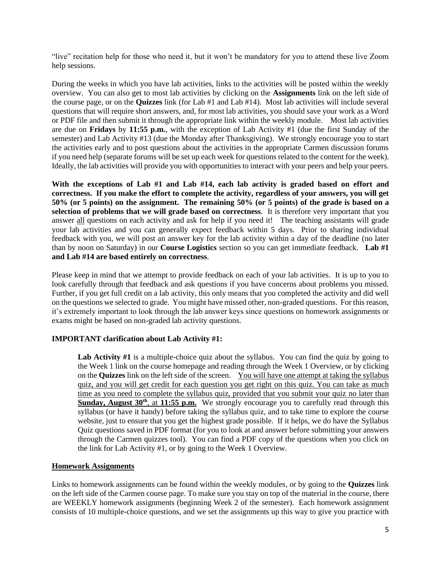"live" recitation help for those who need it, but it won't be mandatory for you to attend these live Zoom help sessions.

During the weeks in which you have lab activities, links to the activities will be posted within the weekly overview. You can also get to most lab activities by clicking on the **Assignments** link on the left side of the course page, or on the **Quizzes** link (for Lab #1 and Lab #14). Most lab activities will include several questions that will require short answers, and, for most lab activities, you should save your work as a Word or PDF file and then submit it through the appropriate link within the weekly module. Most lab activities are due on **Fridays** by **11:55 p.m.**, with the exception of Lab Activity #1 (due the first Sunday of the semester) and Lab Activity #13 (due the Monday after Thanksgiving). We strongly encourage you to start the activities early and to post questions about the activities in the appropriate Carmen discussion forums if you need help (separate forums will be set up each week for questions related to the content for the week). Ideally, the lab activities will provide you with opportunities to interact with your peers and help your peers.

**With the exceptions of Lab #1 and Lab #14, each lab activity is graded based on effort and correctness. If you make the effort to complete the activity, regardless of your answers, you will get 50% (or 5 points) on the assignment. The remaining 50% (or 5 points) of the grade is based on a selection of problems that we will grade based on correctness***.* It is therefore very important that you answer all questions on each activity and ask for help if you need it! The teaching assistants will grade your lab activities and you can generally expect feedback within 5 days. Prior to sharing individual feedback with you, we will post an answer key for the lab activity within a day of the deadline (no later than by noon on Saturday) in our **Course Logistics** section so you can get immediate feedback. **Lab #1 and Lab #14 are based entirely on correctness**.

Please keep in mind that we attempt to provide feedback on each of your lab activities. It is up to you to look carefully through that feedback and ask questions if you have concerns about problems you missed. Further, if you get full credit on a lab activity, this only means that you completed the activity and did well on the questions we selected to grade. You might have missed other, non-graded questions. For this reason, it's extremely important to look through the lab answer keys since questions on homework assignments or exams might be based on non-graded lab activity questions.

## **IMPORTANT clarification about Lab Activity #1:**

**Lab Activity #1** is a multiple-choice quiz about the syllabus. You can find the quiz by going to the Week 1 link on the course homepage and reading through the Week 1 Overview, or by clicking on the **Quizzes** link on the left side of the screen. You will have one attempt at taking the syllabus quiz, and you will get credit for each question you get right on this quiz. You can take as much time as you need to complete the syllabus quiz, provided that you submit your quiz no later than Sunday, August 30<sup>th</sup>, at 11:55 p.m. We strongly encourage you to carefully read through this syllabus (or have it handy) before taking the syllabus quiz, and to take time to explore the course website, just to ensure that you get the highest grade possible. If it helps, we do have the Syllabus Quiz questions saved in PDF format (for you to look at and answer before submitting your answers through the Carmen quizzes tool). You can find a PDF copy of the questions when you click on the link for Lab Activity #1, or by going to the Week 1 Overview.

## **Homework Assignments**

Links to homework assignments can be found within the weekly modules, or by going to the **Quizzes** link on the left side of the Carmen course page. To make sure you stay on top of the material in the course, there are WEEKLY homework assignments (beginning Week 2 of the semester). Each homework assignment consists of 10 multiple-choice questions, and we set the assignments up this way to give you practice with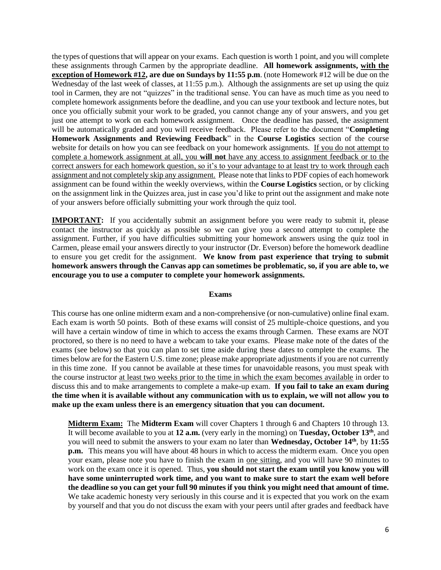the types of questions that will appear on your exams. Each question is worth 1 point, and you will complete these assignments through Carmen by the appropriate deadline. **All homework assignments, with the exception of Homework #12, are due on Sundays by 11:55 p.m**. (note Homework #12 will be due on the Wednesday of the last week of classes, at 11:55 p.m.). Although the assignments are set up using the quiz tool in Carmen, they are not "quizzes" in the traditional sense. You can have as much time as you need to complete homework assignments before the deadline, and you can use your textbook and lecture notes, but once you officially submit your work to be graded, you cannot change any of your answers, and you get just one attempt to work on each homework assignment. Once the deadline has passed, the assignment will be automatically graded and you will receive feedback. Please refer to the document "**Completing Homework Assignments and Reviewing Feedback**" in the **Course Logistics** section of the course website for details on how you can see feedback on your homework assignments. If you do not attempt to complete a homework assignment at all, you **will not** have any access to assignment feedback or to the correct answers for each homework question, so it's to your advantage to at least try to work through each assignment and not completely skip any assignment. Please note that links to PDF copies of each homework assignment can be found within the weekly overviews, within the **Course Logistics** section, or by clicking on the assignment link in the Quizzes area, just in case you'd like to print out the assignment and make note of your answers before officially submitting your work through the quiz tool.

**IMPORTANT:** If you accidentally submit an assignment before you were ready to submit it, please contact the instructor as quickly as possible so we can give you a second attempt to complete the assignment. Further, if you have difficulties submitting your homework answers using the quiz tool in Carmen, please email your answers directly to your instructor (Dr. Everson) before the homework deadline to ensure you get credit for the assignment. **We know from past experience that trying to submit homework answers through the Canvas app can sometimes be problematic, so, if you are able to, we encourage you to use a computer to complete your homework assignments.**

#### **Exams**

This course has one online midterm exam and a non-comprehensive (or non-cumulative) online final exam. Each exam is worth 50 points. Both of these exams will consist of 25 multiple-choice questions, and you will have a certain window of time in which to access the exams through Carmen. These exams are NOT proctored, so there is no need to have a webcam to take your exams. Please make note of the dates of the exams (see below) so that you can plan to set time aside during these dates to complete the exams. The times below are for the Eastern U.S. time zone; please make appropriate adjustments if you are not currently in this time zone. If you cannot be available at these times for unavoidable reasons, you must speak with the course instructor at least two weeks prior to the time in which the exam becomes available in order to discuss this and to make arrangements to complete a make-up exam. **If you fail to take an exam during the time when it is available without any communication with us to explain, we will not allow you to make up the exam unless there is an emergency situation that you can document.** 

**Midterm Exam:** The **Midterm Exam** will cover Chapters 1 through 6 and Chapters 10 through 13. It will become available to you at **12 a.m.** (very early in the morning) on **Tuesday, October 13th**, and you will need to submit the answers to your exam no later than **Wednesday, October 14th**, by **11:55 p.m.** This means you will have about 48 hours in which to access the midterm exam. Once you open your exam, please note you have to finish the exam in one sitting, and you will have 90 minutes to work on the exam once it is opened. Thus, **you should not start the exam until you know you will have some uninterrupted work time, and you want to make sure to start the exam well before the deadline so you can get your full 90 minutes if you think you might need that amount of time.**  We take academic honesty very seriously in this course and it is expected that you work on the exam by yourself and that you do not discuss the exam with your peers until after grades and feedback have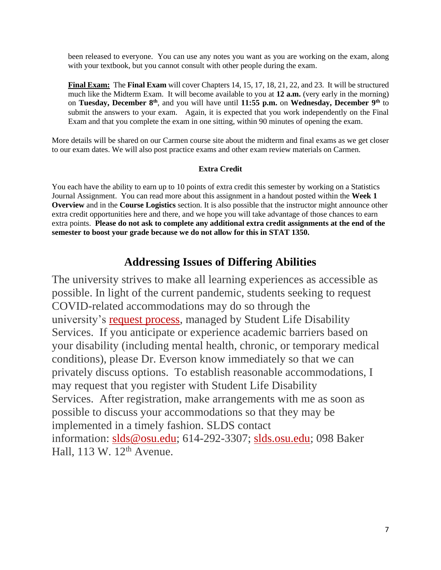been released to everyone. You can use any notes you want as you are working on the exam, along with your textbook, but you cannot consult with other people during the exam.

**Final Exam:** The **Final Exam** will cover Chapters 14, 15, 17, 18, 21, 22, and 23. It will be structured much like the Midterm Exam. It will become available to you at **12 a.m.** (very early in the morning) on **Tuesday, December 8th**, and you will have until **11:55 p.m.** on **Wednesday, December 9th** to submit the answers to your exam. Again, it is expected that you work independently on the Final Exam and that you complete the exam in one sitting, within 90 minutes of opening the exam.

More details will be shared on our Carmen course site about the midterm and final exams as we get closer to our exam dates. We will also post practice exams and other exam review materials on Carmen.

# **Extra Credit**

You each have the ability to earn up to 10 points of extra credit this semester by working on a Statistics Journal Assignment. You can read more about this assignment in a handout posted within the **Week 1 Overview** and in the **Course Logistics** section. It is also possible that the instructor might announce other extra credit opportunities here and there, and we hope you will take advantage of those chances to earn extra points. **Please do not ask to complete any additional extra credit assignments at the end of the semester to boost your grade because we do not allow for this in STAT 1350.**

# **Addressing Issues of Differing Abilities**

The university strives to make all learning experiences as accessible as possible. In light of the current pandemic, students seeking to request COVID-related accommodations may do so through the university's [request process,](https://slds.osu.edu/covid-19-info/covid-related-accommodation-requests/) managed by Student Life Disability Services. If you anticipate or experience academic barriers based on your disability (including mental health, chronic, or temporary medical conditions), please Dr. Everson know immediately so that we can privately discuss options. To establish reasonable accommodations, I may request that you register with Student Life Disability Services. After registration, make arrangements with me as soon as possible to discuss your accommodations so that they may be implemented in a timely fashion. SLDS contact information: [slds@osu.edu;](mailto:slds@osu.edu) 614-292-3307; [slds.osu.edu;](https://slds.osu.edu/) 098 Baker Hall,  $113 \text{ W}$ ,  $12^{\text{th}}$  Avenue.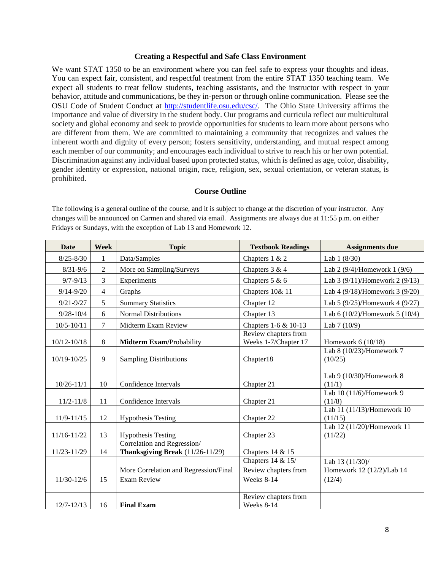#### **Creating a Respectful and Safe Class Environment**

We want STAT 1350 to be an environment where you can feel safe to express your thoughts and ideas. You can expect fair, consistent, and respectful treatment from the entire STAT 1350 teaching team. We expect all students to treat fellow students, teaching assistants, and the instructor with respect in your behavior, attitude and communications, be they in-person or through online communication. Please see the OSU Code of Student Conduct at [http://studentlife.osu.edu/csc/.](http://studentlife.osu.edu/csc/) The Ohio State University affirms the importance and value of diversity in the student body. Our programs and curricula reflect our multicultural society and global economy and seek to provide opportunities for students to learn more about persons who are different from them. We are committed to maintaining a community that recognizes and values the inherent worth and dignity of every person; fosters sensitivity, understanding, and mutual respect among each member of our community; and encourages each individual to strive to reach his or her own potential. Discrimination against any individual based upon protected status, which is defined as age, color, disability, gender identity or expression, national origin, race, religion, sex, sexual orientation, or veteran status, is prohibited.

#### **Course Outline**

The following is a general outline of the course, and it is subject to change at the discretion of your instructor. Any changes will be announced on Carmen and shared via email. Assignments are always due at 11:55 p.m. on either Fridays or Sundays, with the exception of Lab 13 and Homework 12.

| <b>Date</b>     | <b>Week</b>    | <b>Topic</b>                                                    | <b>Textbook Readings</b>                                | <b>Assignments due</b>                                 |  |
|-----------------|----------------|-----------------------------------------------------------------|---------------------------------------------------------|--------------------------------------------------------|--|
| $8/25 - 8/30$   | 1              | Data/Samples                                                    | Chapters 1 & 2                                          | Lab $1(8/30)$                                          |  |
| $8/31 - 9/6$    | $\overline{2}$ | More on Sampling/Surveys                                        | Chapters 3 & 4                                          | Lab $2(9/4)$ /Homework 1 (9/6)                         |  |
| $9/7 - 9/13$    | 3              | Experiments                                                     | Chapters $5 & 6$                                        | Lab $3(9/11)$ /Homework 2(9/13)                        |  |
| $9/14 - 9/20$   | $\overline{4}$ | Graphs                                                          | Chapters 10& 11                                         | Lab 4 (9/18)/Homework 3 (9/20)                         |  |
| $9/21 - 9/27$   | 5              | <b>Summary Statistics</b>                                       | Chapter 12                                              | Lab 5 (9/25)/Homework 4 (9/27)                         |  |
| $9/28 - 10/4$   | 6              | <b>Normal Distributions</b>                                     | Chapter 13                                              | Lab 6 (10/2)/Homework 5 (10/4)                         |  |
| $10/5 - 10/11$  | $\overline{7}$ | Midterm Exam Review                                             | Chapters 1-6 & 10-13                                    | Lab 7 (10/9)                                           |  |
| $10/12 - 10/18$ | 8              | Midterm Exam/Probability                                        | Review chapters from<br>Weeks 1-7/Chapter 17            | Homework $6(10/18)$                                    |  |
| 10/19-10/25     | 9              | <b>Sampling Distributions</b>                                   | Chapter18                                               | Lab 8 (10/23)/Homework 7<br>(10/25)                    |  |
| $10/26 - 11/1$  | 10             | Confidence Intervals                                            | Chapter 21                                              | Lab 9 (10/30)/Homework 8<br>(11/1)                     |  |
| $11/2 - 11/8$   | 11             | Confidence Intervals                                            | Chapter 21                                              | Lab 10 (11/6)/Homework 9<br>(11/8)                     |  |
| $11/9 - 11/15$  | 12             | <b>Hypothesis Testing</b>                                       | Chapter 22                                              | Lab 11 (11/13)/Homework 10<br>(11/15)                  |  |
| $11/16 - 11/22$ | 13             | <b>Hypothesis Testing</b>                                       | Chapter 23                                              | Lab 12 (11/20)/Homework 11<br>(11/22)                  |  |
| 11/23-11/29     | 14             | Correlation and Regression/<br>Thanksgiving Break (11/26-11/29) | Chapters 14 & 15                                        |                                                        |  |
| $11/30-12/6$    | 15             | More Correlation and Regression/Final<br><b>Exam Review</b>     | Chapters 14 & 15/<br>Review chapters from<br>Weeks 8-14 | Lab 13 (11/30)/<br>Homework 12 (12/2)/Lab 14<br>(12/4) |  |
| $12/7 - 12/13$  | 16             | <b>Final Exam</b>                                               | Review chapters from<br>Weeks 8-14                      |                                                        |  |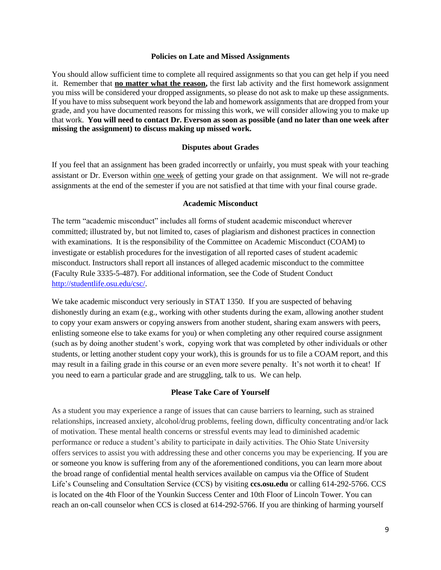#### **Policies on Late and Missed Assignments**

You should allow sufficient time to complete all required assignments so that you can get help if you need it. Remember that **no matter what the reason,** the first lab activity and the first homework assignment you miss will be considered your dropped assignments, so please do not ask to make up these assignments. If you have to miss subsequent work beyond the lab and homework assignments that are dropped from your grade, and you have documented reasons for missing this work, we will consider allowing you to make up that work. **You will need to contact Dr. Everson as soon as possible (and no later than one week after missing the assignment) to discuss making up missed work.** 

#### **Disputes about Grades**

If you feel that an assignment has been graded incorrectly or unfairly, you must speak with your teaching assistant or Dr. Everson within one week of getting your grade on that assignment. We will not re-grade assignments at the end of the semester if you are not satisfied at that time with your final course grade.

#### **Academic Misconduct**

The term "academic misconduct" includes all forms of student academic misconduct wherever committed; illustrated by, but not limited to, cases of plagiarism and dishonest practices in connection with examinations. It is the responsibility of the Committee on Academic Misconduct (COAM) to investigate or establish procedures for the investigation of all reported cases of student academic misconduct. Instructors shall report all instances of alleged academic misconduct to the committee (Faculty Rule 3335-5-487). For additional information, see the Code of Student Conduct [http://studentlife.osu.edu/csc/.](http://studentlife.osu.edu/csc/)

We take academic misconduct very seriously in STAT 1350. If you are suspected of behaving dishonestly during an exam (e.g., working with other students during the exam, allowing another student to copy your exam answers or copying answers from another student, sharing exam answers with peers, enlisting someone else to take exams for you) or when completing any other required course assignment (such as by doing another student's work, copying work that was completed by other individuals or other students, or letting another student copy your work), this is grounds for us to file a COAM report, and this may result in a failing grade in this course or an even more severe penalty. It's not worth it to cheat! If you need to earn a particular grade and are struggling, talk to us. We can help.

#### **Please Take Care of Yourself**

As a student you may experience a range of issues that can cause barriers to learning, such as strained relationships, increased anxiety, alcohol/drug problems, feeling down, difficulty concentrating and/or lack of motivation. These mental health concerns or stressful events may lead to diminished academic performance or reduce a student's ability to participate in daily activities. The Ohio State University offers services to assist you with addressing these and other concerns you may be experiencing. If you are or someone you know is suffering from any of the aforementioned conditions, you can learn more about the broad range of confidential mental health services available on campus via the Office of Student Life's Counseling and Consultation Service (CCS) by visiting **ccs.osu.edu** or calling 614-292-5766. CCS is located on the 4th Floor of the Younkin Success Center and 10th Floor of Lincoln Tower. You can reach an on-call counselor when CCS is closed at 614-292-5766. If you are thinking of harming yourself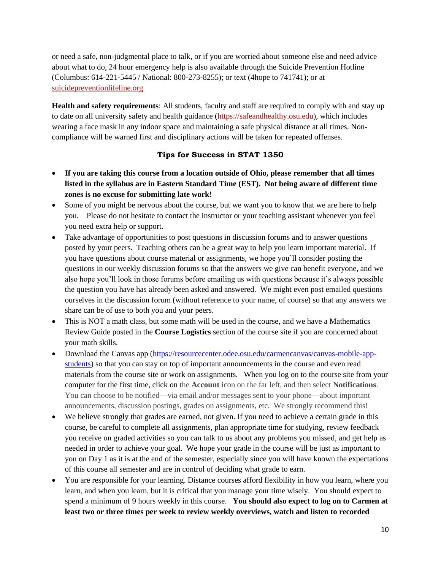or need a safe, non-judgmental place to talk, or if you are worried about someone else and need advice about what to do, 24 hour emergency help is also available through the Suicide Prevention Hotline (Columbus: 614-221-5445 / National: 800-273-8255); or text (4hope to 741741); or at [suicidepreventionlifeline.org](http://suicidepreventionlifeline.org/)

**Health and safety requirements**: All students, faculty and staff are required to comply with and stay up to date on all university safety and health guidance [\(https://safeandhealthy.osu.edu\)](https://safeandhealthy.osu.edu/), which includes wearing a face mask in any indoor space and maintaining a safe physical distance at all times. Noncompliance will be warned first and disciplinary actions will be taken for repeated offenses.

# **Tips for Success in STAT 1350**

- **If you are taking this course from a location outside of Ohio, please remember that all times listed in the syllabus are in Eastern Standard Time (EST). Not being aware of different time zones is no excuse for submitting late work!**
- Some of you might be nervous about the course, but we want you to know that we are here to help you. Please do not hesitate to contact the instructor or your teaching assistant whenever you feel you need extra help or support.
- Take advantage of opportunities to post questions in discussion forums and to answer questions posted by your peers. Teaching others can be a great way to help you learn important material. If you have questions about course material or assignments, we hope you'll consider posting the questions in our weekly discussion forums so that the answers we give can benefit everyone, and we also hope you'll look in those forums before emailing us with questions because it's always possible the question you have has already been asked and answered. We might even post emailed questions ourselves in the discussion forum (without reference to your name, of course) so that any answers we share can be of use to both you and your peers.
- This is NOT a math class, but some math will be used in the course, and we have a Mathematics Review Guide posted in the **Course Logistics** section of the course site if you are concerned about your math skills.
- Download the Canvas app [\(https://resourcecenter.odee.osu.edu/carmencanvas/canvas-mobile-app](https://resourcecenter.odee.osu.edu/carmencanvas/canvas-mobile-app-students)[students\)](https://resourcecenter.odee.osu.edu/carmencanvas/canvas-mobile-app-students) so that you can stay on top of important announcements in the course and even read materials from the course site or work on assignments. When you log on to the course site from your computer for the first time, click on the **Account** icon on the far left, and then select **Notifications**. You can choose to be notified—via email and/or messages sent to your phone—about important announcements, discussion postings, grades on assignments, etc. We strongly recommend this!
- We believe strongly that grades are earned, not given. If you need to achieve a certain grade in this course, be careful to complete all assignments, plan appropriate time for studying, review feedback you receive on graded activities so you can talk to us about any problems you missed, and get help as needed in order to achieve your goal. We hope your grade in the course will be just as important to you on Day 1 as it is at the end of the semester, especially since you will have known the expectations of this course all semester and are in control of deciding what grade to earn.
- You are responsible for your learning. Distance courses afford flexibility in how you learn, where you learn, and when you learn, but it is critical that you manage your time wisely. You should expect to spend a minimum of 9 hours weekly in this course. **You should also expect to log on to Carmen at least two or three times per week to review weekly overviews, watch and listen to recorded**